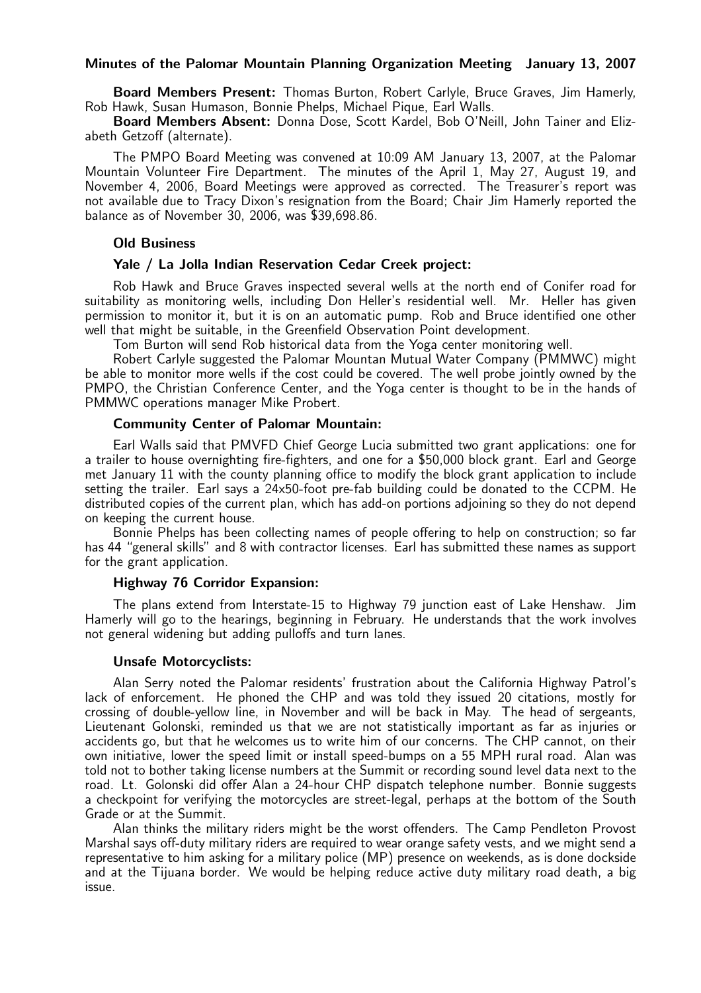## Minutes of the Palomar Mountain Planning Organization Meeting January 13, 2007

Board Members Present: Thomas Burton, Robert Carlyle, Bruce Graves, Jim Hamerly, Rob Hawk, Susan Humason, Bonnie Phelps, Michael Pique, Earl Walls.

Board Members Absent: Donna Dose, Scott Kardel, Bob O'Neill, John Tainer and Elizabeth Getzoff (alternate).

The PMPO Board Meeting was convened at 10:09 AM January 13, 2007, at the Palomar Mountain Volunteer Fire Department. The minutes of the April 1, May 27, August 19, and November 4, 2006, Board Meetings were approved as corrected. The Treasurer's report was not available due to Tracy Dixon's resignation from the Board; Chair Jim Hamerly reported the balance as of November 30, 2006, was \$39,698.86.

#### Old Business

## Yale / La Jolla Indian Reservation Cedar Creek project:

Rob Hawk and Bruce Graves inspected several wells at the north end of Conifer road for suitability as monitoring wells, including Don Heller's residential well. Mr. Heller has given permission to monitor it, but it is on an automatic pump. Rob and Bruce identified one other well that might be suitable, in the Greenfield Observation Point development.

Tom Burton will send Rob historical data from the Yoga center monitoring well.

Robert Carlyle suggested the Palomar Mountan Mutual Water Company (PMMWC) might be able to monitor more wells if the cost could be covered. The well probe jointly owned by the PMPO, the Christian Conference Center, and the Yoga center is thought to be in the hands of PMMWC operations manager Mike Probert.

### Community Center of Palomar Mountain:

Earl Walls said that PMVFD Chief George Lucia submitted two grant applications: one for a trailer to house overnighting fire-fighters, and one for a \$50,000 block grant. Earl and George met January 11 with the county planning office to modify the block grant application to include setting the trailer. Earl says a 24x50-foot pre-fab building could be donated to the CCPM. He distributed copies of the current plan, which has add-on portions adjoining so they do not depend on keeping the current house.

Bonnie Phelps has been collecting names of people offering to help on construction; so far has 44 "general skills" and 8 with contractor licenses. Earl has submitted these names as support for the grant application.

## Highway 76 Corridor Expansion:

The plans extend from Interstate-15 to Highway 79 junction east of Lake Henshaw. Jim Hamerly will go to the hearings, beginning in February. He understands that the work involves not general widening but adding pulloffs and turn lanes.

#### Unsafe Motorcyclists:

Alan Serry noted the Palomar residents' frustration about the California Highway Patrol's lack of enforcement. He phoned the CHP and was told they issued 20 citations, mostly for crossing of double-yellow line, in November and will be back in May. The head of sergeants, Lieutenant Golonski, reminded us that we are not statistically important as far as injuries or accidents go, but that he welcomes us to write him of our concerns. The CHP cannot, on their own initiative, lower the speed limit or install speed-bumps on a 55 MPH rural road. Alan was told not to bother taking license numbers at the Summit or recording sound level data next to the road. Lt. Golonski did offer Alan a 24-hour CHP dispatch telephone number. Bonnie suggests a checkpoint for verifying the motorcycles are street-legal, perhaps at the bottom of the South Grade or at the Summit.

Alan thinks the military riders might be the worst offenders. The Camp Pendleton Provost Marshal says off-duty military riders are required to wear orange safety vests, and we might send a representative to him asking for a military police (MP) presence on weekends, as is done dockside and at the Tijuana border. We would be helping reduce active duty military road death, a big issue.